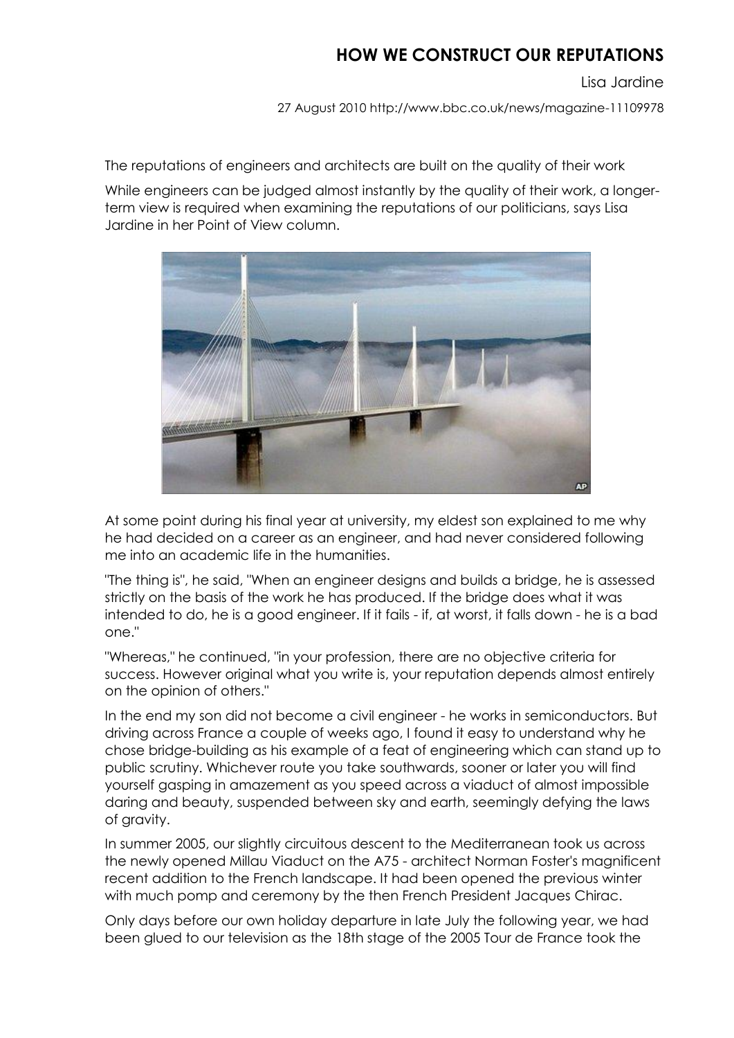Lisa Jardine

27 August 2010 http://www.bbc.co.uk/news/magazine-11109978

The reputations of engineers and architects are built on the quality of their work

While engineers can be judged almost instantly by the quality of their work, a longerterm view is required when examining the reputations of our politicians, says Lisa Jardine in her Point of View column.



At some point during his final year at university, my eldest son explained to me why he had decided on a career as an engineer, and had never considered following me into an academic life in the humanities.

"The thing is", he said, "When an engineer designs and builds a bridge, he is assessed strictly on the basis of the work he has produced. If the bridge does what it was intended to do, he is a good engineer. If it fails - if, at worst, it falls down - he is a bad one."

"Whereas," he continued, "in your profession, there are no objective criteria for success. However original what you write is, your reputation depends almost entirely on the opinion of others."

In the end my son did not become a civil engineer - he works in semiconductors. But driving across France a couple of weeks ago, I found it easy to understand why he chose bridge-building as his example of a feat of engineering which can stand up to public scrutiny. Whichever route you take southwards, sooner or later you will find yourself gasping in amazement as you speed across a viaduct of almost impossible daring and beauty, suspended between sky and earth, seemingly defying the laws of gravity.

In summer 2005, our slightly circuitous descent to the Mediterranean took us across the newly opened Millau Viaduct on the A75 - architect Norman Foster's magnificent recent addition to the French landscape. It had been opened the previous winter with much pomp and ceremony by the then French President Jacques Chirac.

Only days before our own holiday departure in late July the following year, we had been glued to our television as the 18th stage of the 2005 Tour de France took the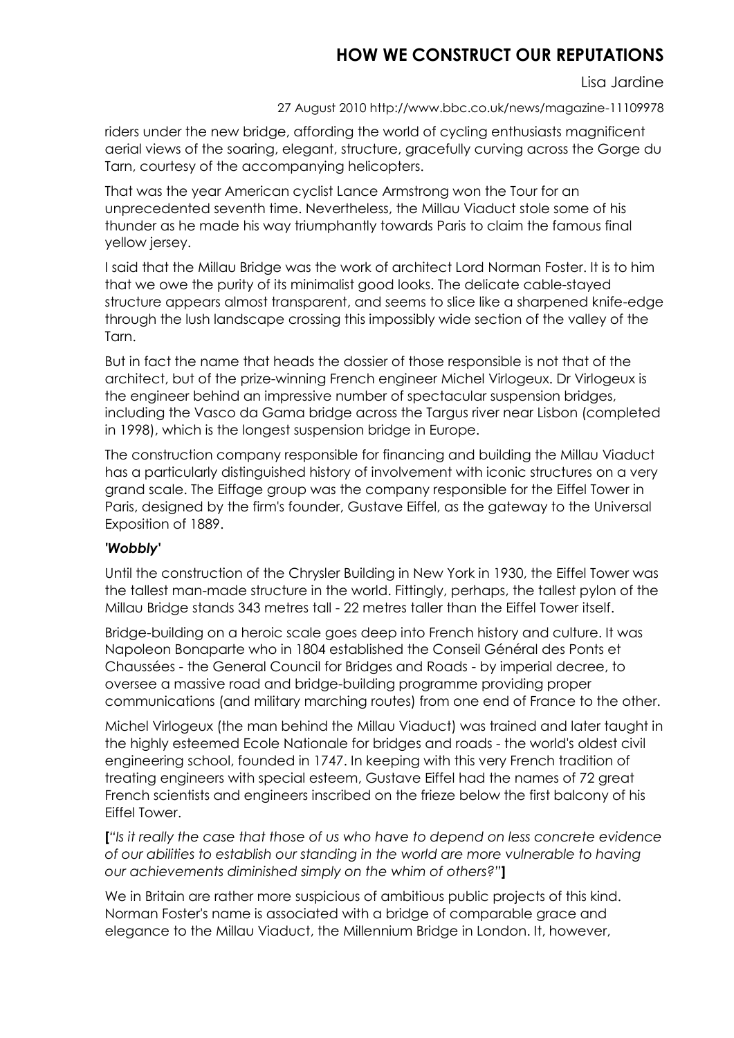Lisa Jardine

#### 27 August 2010 http://www.bbc.co.uk/news/magazine-11109978

riders under the new bridge, affording the world of cycling enthusiasts magnificent aerial views of the soaring, elegant, structure, gracefully curving across the Gorge du Tarn, courtesy of the accompanying helicopters.

That was the year American cyclist Lance Armstrong won the Tour for an unprecedented seventh time. Nevertheless, the Millau Viaduct stole some of his thunder as he made his way triumphantly towards Paris to claim the famous final yellow jersey.

I said that the Millau Bridge was the work of architect Lord Norman Foster. It is to him that we owe the purity of its minimalist good looks. The delicate cable-stayed structure appears almost transparent, and seems to slice like a sharpened knife-edge through the lush landscape crossing this impossibly wide section of the valley of the Tarn.

But in fact the name that heads the dossier of those responsible is not that of the architect, but of the prize-winning French engineer Michel Virlogeux. Dr Virlogeux is the engineer behind an impressive number of spectacular suspension bridges, including the Vasco da Gama bridge across the Targus river near Lisbon (completed in 1998), which is the longest suspension bridge in Europe.

The construction company responsible for financing and building the Millau Viaduct has a particularly distinguished history of involvement with iconic structures on a very grand scale. The Eiffage group was the company responsible for the Eiffel Tower in Paris, designed by the firm's founder, Gustave Eiffel, as the gateway to the Universal Exposition of 1889.

#### *'Wobbly'*

Until the construction of the Chrysler Building in New York in 1930, the Eiffel Tower was the tallest man-made structure in the world. Fittingly, perhaps, the tallest pylon of the Millau Bridge stands 343 metres tall - 22 metres taller than the Eiffel Tower itself.

Bridge-building on a heroic scale goes deep into French history and culture. It was Napoleon Bonaparte who in 1804 established the Conseil Général des Ponts et Chaussées - the General Council for Bridges and Roads - by imperial decree, to oversee a massive road and bridge-building programme providing proper communications (and military marching routes) from one end of France to the other.

Michel Virlogeux (the man behind the Millau Viaduct) was trained and later taught in the highly esteemed Ecole Nationale for bridges and roads - the world's oldest civil engineering school, founded in 1747. In keeping with this very French tradition of treating engineers with special esteem, Gustave Eiffel had the names of 72 great French scientists and engineers inscribed on the frieze below the first balcony of his Eiffel Tower.

**[***"Is it really the case that those of us who have to depend on less concrete evidence of our abilities to establish our standing in the world are more vulnerable to having our achievements diminished simply on the whim of others?"***]**

We in Britain are rather more suspicious of ambitious public projects of this kind. Norman Foster's name is associated with a bridge of comparable grace and elegance to the Millau Viaduct, the Millennium Bridge in London. It, however,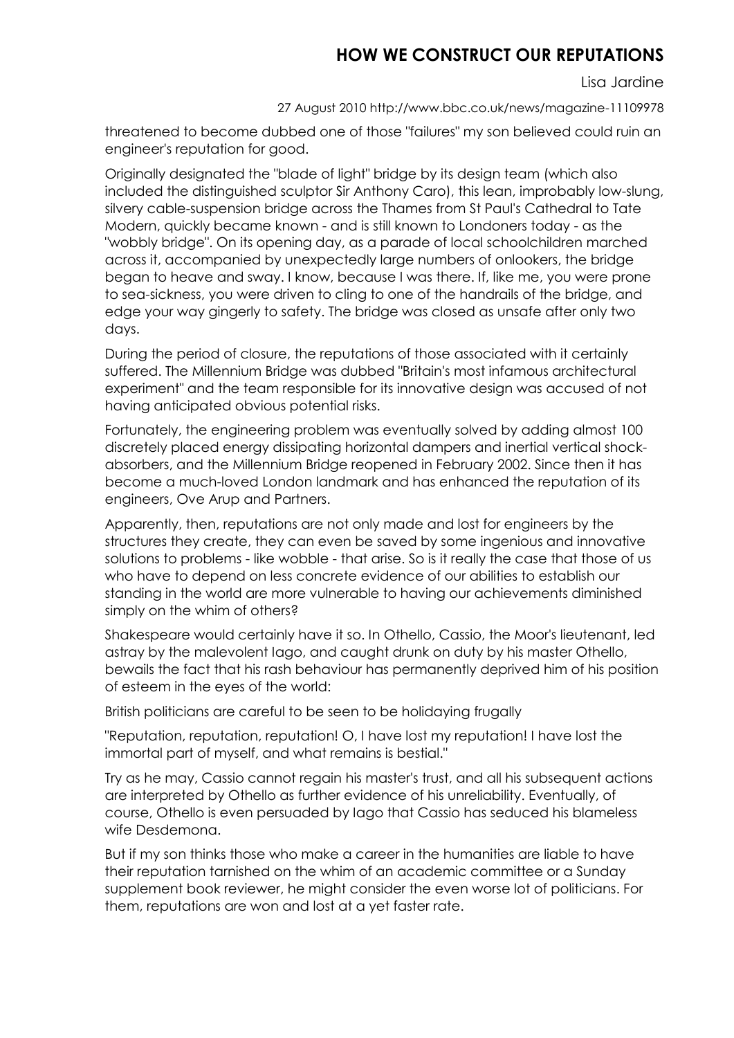Lisa Jardine

27 August 2010 http://www.bbc.co.uk/news/magazine-11109978

threatened to become dubbed one of those "failures" my son believed could ruin an engineer's reputation for good.

Originally designated the "blade of light" bridge by its design team (which also included the distinguished sculptor Sir Anthony Caro), this lean, improbably low-slung, silvery cable-suspension bridge across the Thames from St Paul's Cathedral to Tate Modern, quickly became known - and is still known to Londoners today - as the "wobbly bridge". On its opening day, as a parade of local schoolchildren marched across it, accompanied by unexpectedly large numbers of onlookers, the bridge began to heave and sway. I know, because I was there. If, like me, you were prone to sea-sickness, you were driven to cling to one of the handrails of the bridge, and edge your way gingerly to safety. The bridge was closed as unsafe after only two days.

During the period of closure, the reputations of those associated with it certainly suffered. The Millennium Bridge was dubbed "Britain's most infamous architectural experiment" and the team responsible for its innovative design was accused of not having anticipated obvious potential risks.

Fortunately, the engineering problem was eventually solved by adding almost 100 discretely placed energy dissipating horizontal dampers and inertial vertical shockabsorbers, and the Millennium Bridge reopened in February 2002. Since then it has become a much-loved London landmark and has enhanced the reputation of its engineers, Ove Arup and Partners.

Apparently, then, reputations are not only made and lost for engineers by the structures they create, they can even be saved by some ingenious and innovative solutions to problems - like wobble - that arise. So is it really the case that those of us who have to depend on less concrete evidence of our abilities to establish our standing in the world are more vulnerable to having our achievements diminished simply on the whim of others?

Shakespeare would certainly have it so. In Othello, Cassio, the Moor's lieutenant, led astray by the malevolent Iago, and caught drunk on duty by his master Othello, bewails the fact that his rash behaviour has permanently deprived him of his position of esteem in the eyes of the world:

British politicians are careful to be seen to be holidaying frugally

"Reputation, reputation, reputation! O, I have lost my reputation! I have lost the immortal part of myself, and what remains is bestial."

Try as he may, Cassio cannot regain his master's trust, and all his subsequent actions are interpreted by Othello as further evidence of his unreliability. Eventually, of course, Othello is even persuaded by Iago that Cassio has seduced his blameless wife Desdemona.

But if my son thinks those who make a career in the humanities are liable to have their reputation tarnished on the whim of an academic committee or a Sunday supplement book reviewer, he might consider the even worse lot of politicians. For them, reputations are won and lost at a yet faster rate.